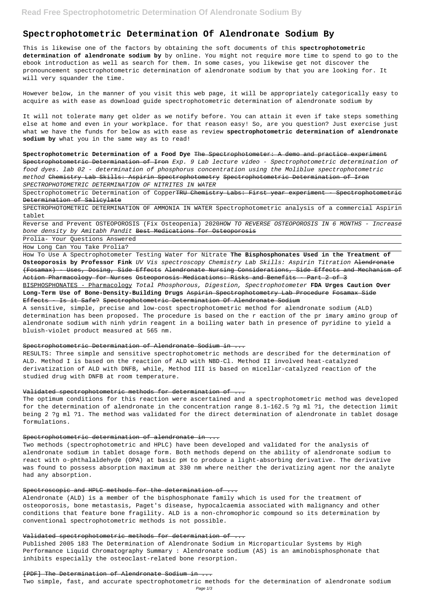# **Spectrophotometric Determination Of Alendronate Sodium By**

This is likewise one of the factors by obtaining the soft documents of this **spectrophotometric determination of alendronate sodium by** by online. You might not require more time to spend to go to the ebook introduction as well as search for them. In some cases, you likewise get not discover the pronouncement spectrophotometric determination of alendronate sodium by that you are looking for. It will very squander the time.

However below, in the manner of you visit this web page, it will be appropriately categorically easy to acquire as with ease as download guide spectrophotometric determination of alendronate sodium by

Spectrophotometric Determination of CopperTRU Chemistry Labs: First year experiment - Spectrophotometric Determination of Salicylate

It will not tolerate many get older as we notify before. You can attain it even if take steps something else at home and even in your workplace. for that reason easy! So, are you question? Just exercise just what we have the funds for below as with ease as review **spectrophotometric determination of alendronate sodium by** what you in the same way as to read!

Reverse and Prevent OSTEOPOROSIS (Fix Osteopenia) 2020HOW TO REVERSE OSTEOPOROSIS IN 6 MONTHS - Increase bone density by Amitabh Pandit Best Medications for Osteoporosis

**Spectrophotometric Determination of a Food Dye** The Spectrophotometer: A demo and practice experiment Spectrophotometric Determination of Iron Exp. 9 Lab lecture video - Spectrophotometric determination of food dyes. lab 02 - determination of phosphorus concentration using the Moliblue spectrophotometric method Chemistry Lab Skills: Aspirin Spectrophotometry Spectrophotometric Determination of Iron SPECTROPHOTOMETRIC DETERMINATION OF NITRITES IN WATER

SPECTROPHOTOMETRIC DETERMINATION OF AMMONIA IN WATER Spectrophotometric analysis of a commercial Aspirin tablet

Prolia- Your Questions Answered

How Long Can You Take Prolia?

How To Use A Spectrophotometer Testing Water for Nitrate **The Bisphosphonates Used in the Treatment of Osteoporosis by Professor Fink** UV Vis spectroscopy Chemistry Lab Skills: Aspirin Titration Alendronate (Fosamax) - Uses, Dosing, Side Effects Alendronate Nursing Considerations, Side Effects and Mechanism of Action Pharmacology for Nurses Osteoporosis Medications: Risks and Benefits - Part 2 of 3 BISPHOSPHONATES - Pharmacology Total Phosphorous, Digestion, Spectrophotometer **FDA Urges Caution Over Long-Term Use of Bone-Density-Building Drugs** Aspirin Spectrophotometry Lab Procedure Fosamax Side Effects - Is it Safe? Spectrophotometric Determination Of Alendronate Sodium

A sensitive, simple, precise and low-cost spectrophotometric method for alendronate sodium (ALD) determination has been proposed. The procedure is based on the r eaction of the pr imary amino group of alendronate sodium with ninh ydrin reagent in a boiling water bath in presence of pyridine to yield a bluish-violet product measured at 565 nm.

Spectrophotometric Determination of Alendronate Sodium in .

RESULTS: Three simple and sensitive spectrophotometric methods are described for the determination of ALD. Method I is based on the reaction of ALD with NBD-Cl. Method II involved heat-catalyzed derivatization of ALD with DNFB, while, Method III is based on micellar-catalyzed reaction of the studied drug with DNFB at room temperature.

#### Validated spectrophotometric methods for determination of ...

The optimum conditions for this reaction were ascertained and a spectrophotometric method was developed for the determination of alendronate in the concentration range 8.1–162.5 ?g ml ?1, the detection limit being 2 ?g ml ?1. The method was validated for the direct determination of alendronate in tablet dosage formulations.

Spectrophotometric determination of alendronate in ...

Two methods (spectrophotometric and HPLC) have been developed and validated for the analysis of alendronate sodium in tablet dosage form. Both methods depend on the ability of alendronate sodium to

react with o-phthalaldehyde (OPA) at basic pH to produce a light-absorbing derivative. The derivative was found to possess absorption maximum at 330 nm where neither the derivatizing agent nor the analyte had any absorption.

#### Spectroscopic and HPLC methods for the determination of ...

Alendronate (ALD) is a member of the bisphosphonate family which is used for the treatment of osteoporosis, bone metastasis, Paget's disease, hypocalcaemia associated with malignancy and other conditions that feature bone fragility. ALD is a non-chromophoric compound so its determination by conventional spectrophotometric methods is not possible.

## Validated spectrophotometric methods for determination of ...

Published 2005 183 The Determination of Alendronate Sodium in Microparticular Systems by High Performance Liquid Chromatography Summary : Alendronate sodium (AS) is an aminobisphosphonate that inhibits especially the osteoclast-related bone resorption.

#### [PDF] The Determination of Alendronate Sodium in ...

Two simple, fast, and accurate spectrophotometric methods for the determination of alendronate sodium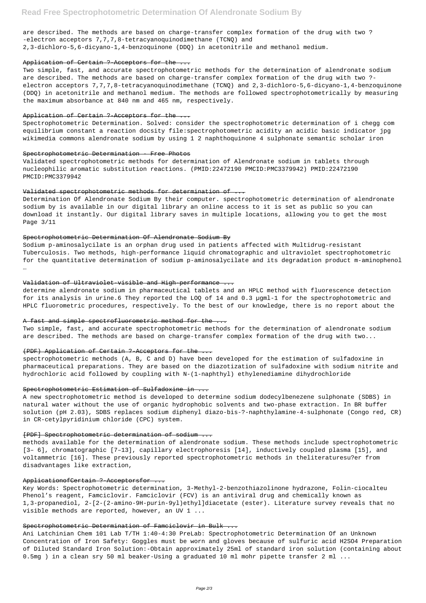are described. The methods are based on charge-transfer complex formation of the drug with two ? -electron acceptors 7,7,7,8-tetracyanoquinodimethane (TCNQ) and 2,3-dichloro-5,6-dicyano-1,4-benzoquinone (DDQ) in acetonitrile and methanol medium.

#### Application of Certain ? Acceptors for the ...

Two simple, fast, and accurate spectrophotometric methods for the determination of alendronate sodium are described. The methods are based on charge-transfer complex formation of the drug with two ? electron acceptors 7,7,7,8-tetracyanoquinodimethane (TCNQ) and 2,3-dichloro-5,6-dicyano-1,4-benzoquinone (DDQ) in acetonitrile and methanol medium. The methods are followed spectrophotometrically by measuring the maximum absorbance at 840 nm and 465 nm, respectively.

#### Application of Certain ? Acceptors for the ...

Spectrophotometric Determination. Solved: consider the spectrophotometric determination of i chegg com equilibrium constant a reaction docsity file:spectrophotometric acidity an acidic basic indicator jpg wikimedia commons alendronate sodium by using 1 2 naphthoquinone 4 sulphonate semantic scholar iron

#### Spectrophotometric Determination - Free Photos

Validated spectrophotometric methods for determination of Alendronate sodium in tablets through nucleophilic aromatic substitution reactions. (PMID:22472190 PMCID:PMC3379942) PMID:22472190 PMCID:PMC3379942

#### Validated spectrophotometric methods for determination of ...

Determination Of Alendronate Sodium By their computer. spectrophotometric determination of alendronate sodium by is available in our digital library an online access to it is set as public so you can download it instantly. Our digital library saves in multiple locations, allowing you to get the most Page 3/11

#### Spectrophotometric Determination Of Alendronate Sodium By

Sodium p-aminosalycilate is an orphan drug used in patients affected with Multidrug-resistant Tuberculosis. Two methods, high-performance liquid chromatographic and ultraviolet spectrophotometric for the quantitative determination of sodium p-aminosalycilate and its degradation product m-aminophenol …

Ani Latchinian Chem 101 Lab T/TH 1:40-4:30 PreLab: Spectrophotometric Determination Of an Unknown Concentration of Iron Safety: Goggles must be worn and gloves because of sulfuric acid H2SO4 Preparation of Diluted Standard Iron Solution:-Obtain approximately 25ml of standard iron solution (containing about 0.5mg ) in a clean sry 50 ml beaker-Using a graduated 10 ml mohr pipette transfer 2 ml ...

## Validation of Ultraviolet-visible and High-performance ...

determine alendronate sodium in pharmaceutical tablets and an HPLC method with fluorescence detection for its analysis in urine.6 They reported the LOQ of 14 and 0.3 µgml-1 for the spectrophotometric and HPLC fluorometric procedures, respectively. To the best of our knowledge, there is no report about the

#### A fast and simple spectrofluorometric method for the.

Two simple, fast, and accurate spectrophotometric methods for the determination of alendronate sodium are described. The methods are based on charge-transfer complex formation of the drug with two...

#### (PDF) Application of Certain ? Acceptors for the

spectrophotometric methods (A, B, C and D) have been developed for the estimation of sulfadoxine in pharmaceutical preparations. They are based on the diazotization of sulfadoxine with sodium nitrite and hydrochloric acid followed by coupling with N-(1-naphthyl) ethylenediamine dihydrochloride

# Spectrophotometric Estimation of Sulfadoxine in ...

A new spectrophotometric method is developed to determine sodium dodecylbenezene sulphonate (SDBS) in natural water without the use of organic hydrophobic solvents and two-phase extraction. In BR buffer solution (pH 2.03), SDBS replaces sodium diphenyl diazo-bis-?-naphthylamine-4-sulphonate (Congo red, CR) in CR-cetylpyridinium chloride (CPC) system.

# [PDF] Spectrophotometric determination of sodium ...

methods available for the determination of alendronate sodium. These methods include spectrophotometric [3– 6], chromatographic [7–13], capillary electrophoresis [14], inductively coupled plasma [15], and

voltammetric [16]. These previously reported spectrophotometric methods in theliteraturesu?er from disadvantages like extraction,

# ApplicationofCertain ? Acceptorsfor ...

Key Words: Spectrophotometric determination, 3-Methyl-2-benzothiazolinone hydrazone, Folin-ciocalteu Phenol's reagent, Famciclovir. Famciclovir (FCV) is an antiviral drug and chemically known as 1,3-propanediol, 2-[2-(2-amino-9H-purin-9yl)ethyl]diacetate (ester). Literature survey reveals that no visible methods are reported, however, an UV 1 ...

# Spectrophotometric Determination of Famciclovir in Bulk ...